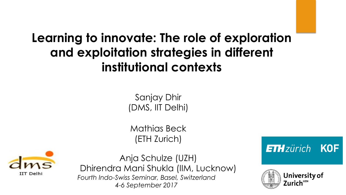### **Learning to innovate: The role of exploration and exploitation strategies in different institutional contexts**

Sanjay Dhir (DMS, IIT Delhi)

Mathias Beck (ETH Zurich)



Anja Schulze (UZH) Dhirendra Mani Shukla (IIM, Lucknow) *Fourth Indo-Swiss Seminar, Basel, Switzerland 4-6 September 2017* 

**ETH**zürich **KOF** 

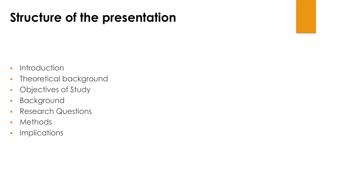## **Structure of the presentation**

- **-** Introduction
- **· Theoretical background**
- **-** Objectives of Study
- **Background**
- **Research Questions**
- ! Methods
- **·** Implications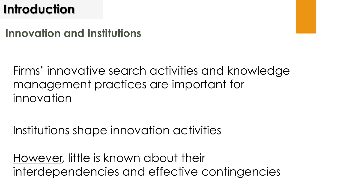### **Introduction**

### **Innovation and Institutions**

Firms' innovative search activities and knowledge management practices are important for innovation

Institutions shape innovation activities

However, little is known about their interdependencies and effective contingencies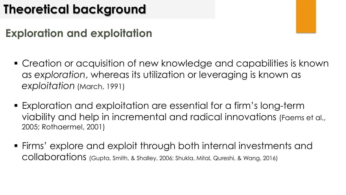## **Theoretical background**

### **Exploration and exploitation**

- **.** Creation or acquisition of new knowledge and capabilities is known as *exploration*, whereas its utilization or leveraging is known as *exploitation* (March, 1991)
- ! Exploration and exploitation are essential for a firm's long-term viability and help in incremental and radical innovations (Faems et al., 2005; Rothaermel, 2001)
- ! Firms' explore and exploit through both internal investments and collaborations (Gupta, Smith, & Shalley, 2006; Shukla, Mital, Qureshi, & Wang, 2016)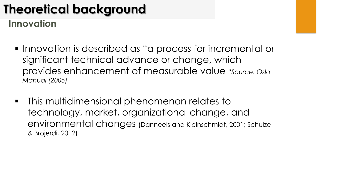## **Theoretical background**

**Innovation** 

- ! Innovation is described as "a process for incremental or significant technical advance or change, which provides enhancement of measurable value *"Source: Oslo Manual (2005)*
- **This multidimensional phenomenon relates to "** technology, market, organizational change, and environmental changes (Danneels and Kleinschmidt, 2001; Schulze & Brojerdi, 2012)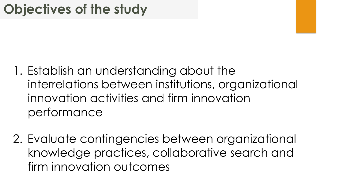- 1. Establish an understanding about the interrelations between institutions, organizational innovation activities and firm innovation performance
- 2. Evaluate contingencies between organizational knowledge practices, collaborative search and firm innovation outcomes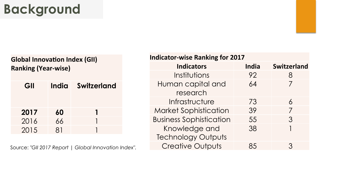#### **Global Innovation Index (GII) Ranking (Year-wise)**

| GII  | India | <b>Switzerland</b> |
|------|-------|--------------------|
| 2017 | 60    |                    |
| 2016 | 66    |                    |
| 2015 |       |                    |

Source: *"GII 2017 Report | Global Innovation Index".*

| <b>Indicator-wise Ranking for 2017</b> |              |                    |  |  |
|----------------------------------------|--------------|--------------------|--|--|
| <b>Indicators</b>                      | <b>India</b> | <b>Switzerland</b> |  |  |
| Institutions                           | 92           | 8                  |  |  |
| Human capital and                      | 64           | 7                  |  |  |
| research                               |              |                    |  |  |
| Infrastructure                         | 73           | 6                  |  |  |
| <b>Market Sophistication</b>           | 39           | 7                  |  |  |
| <b>Business Sophistication</b>         | 55           | 3                  |  |  |
| Knowledge and                          | 38           |                    |  |  |
| <b>Technology Outputs</b>              |              |                    |  |  |
| <b>Creative Outputs</b>                | くへ           | ς                  |  |  |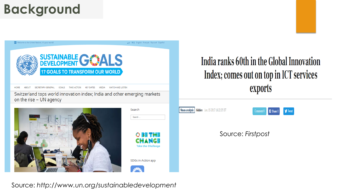UN Welcome to the United Nations. It's your world!

中文 English Français Русский Español



SECRETARY-GENERAL GOALS TAKE ACTION KEY DATES **MEDIA WATCH AND LISTEN** 

Switzerland tops world innovation index; India and other emerging markets on the rise - UN agency





### India ranks 60th in the Global Innovation Index; comes out on top in ICT services exports





#### Source: *Firstpost*

Source: *http://www.un.org/sustainabledevelopment*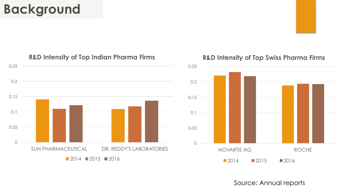

#### **R&D Intensity of Top Indian Pharma Firms**

#### **R&D Intensity of Top Swiss Pharma Firms**



Source: Annual reports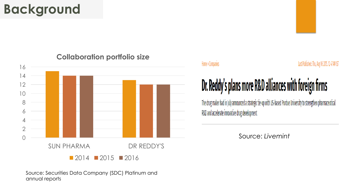

#### **Collaboration portfolio size**

Source: Securities Data Company (SDC) Platinum and annual reports

#### Home » Companies

#### Last Published: Thu, Aug 06 2015. 12 47 AM IST

# Dr. Reddy's plans more R&D alliances with foreign firms

The drug maker had in July announced a strategic tie-up with US-based Purdue University to strengthen pharmaceutical R&D and accelerate innovative drug development

Source: *Livemint*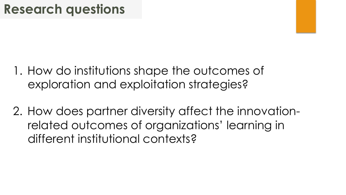- 1. How do institutions shape the outcomes of exploration and exploitation strategies?
- 2. How does partner diversity affect the innovationrelated outcomes of organizations' learning in different institutional contexts?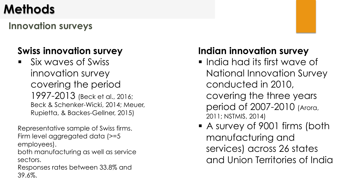## **Methods**

**Innovation surveys** 

### **Swiss innovation survey**

! Six waves of Swiss innovation survey covering the period 1997-2013 (Beck et al., 2016; Beck & Schenker-Wicki, 2014; Meuer, Rupietta, & Backes-Gellner, 2015)

Representative sample of Swiss firms. Firm level aggregated data (>=5 employees).

both manufacturing as well as service sectors.

Responses rates between 33.8% and 39.6%.

### **Indian innovation survey**

- ! India had its first wave of National Innovation Survey conducted in 2010, covering the three years period of 2007-2010 (Arora, 2011; NSTMIS, 2014)
- A survey of 9001 firms (both manufacturing and services) across 26 states and Union Territories of India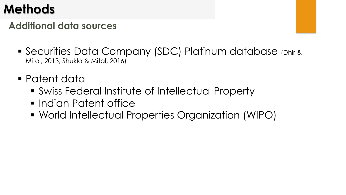## **Methods**

### **Additional data sources**

- ! Securities Data Company (SDC) Platinum database (Dhir & Mital, 2013; Shukla & Mital, 2016)
- ! Patent data
	- **Swiss Federal Institute of Intellectual Property**
	- **.** Indian Patent office
	- ! World Intellectual Properties Organization (WIPO)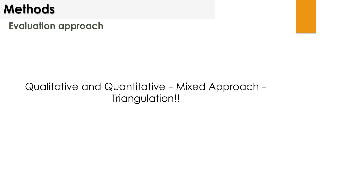### **Methods**

**Evaluation approach** 

### Qualitative and Quantitative – Mixed Approach – Triangulation!!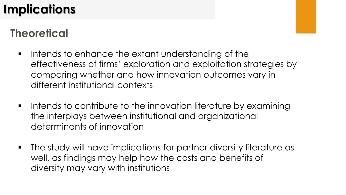## **Implications**

### **Theoretical**

- **IF Intends to enhance the extant understanding of the** effectiveness of firms' exploration and exploitation strategies by comparing whether and how innovation outcomes vary in different institutional contexts
- **If the lintends to contribute to the innovation literature by examining** the interplays between institutional and organizational determinants of innovation
- **The study will have implications for partner diversity literature as** well, as findings may help how the costs and benefits of diversity may vary with institutions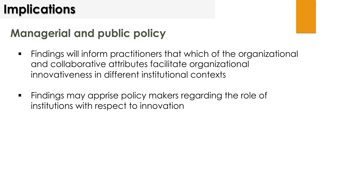## **Implications**

### **Managerial and public policy**

- **EXT** Findings will inform practitioners that which of the organizational and collaborative attributes facilitate organizational innovativeness in different institutional contexts
- **Example 20 Findings may apprise policy makers regarding the role of** institutions with respect to innovation